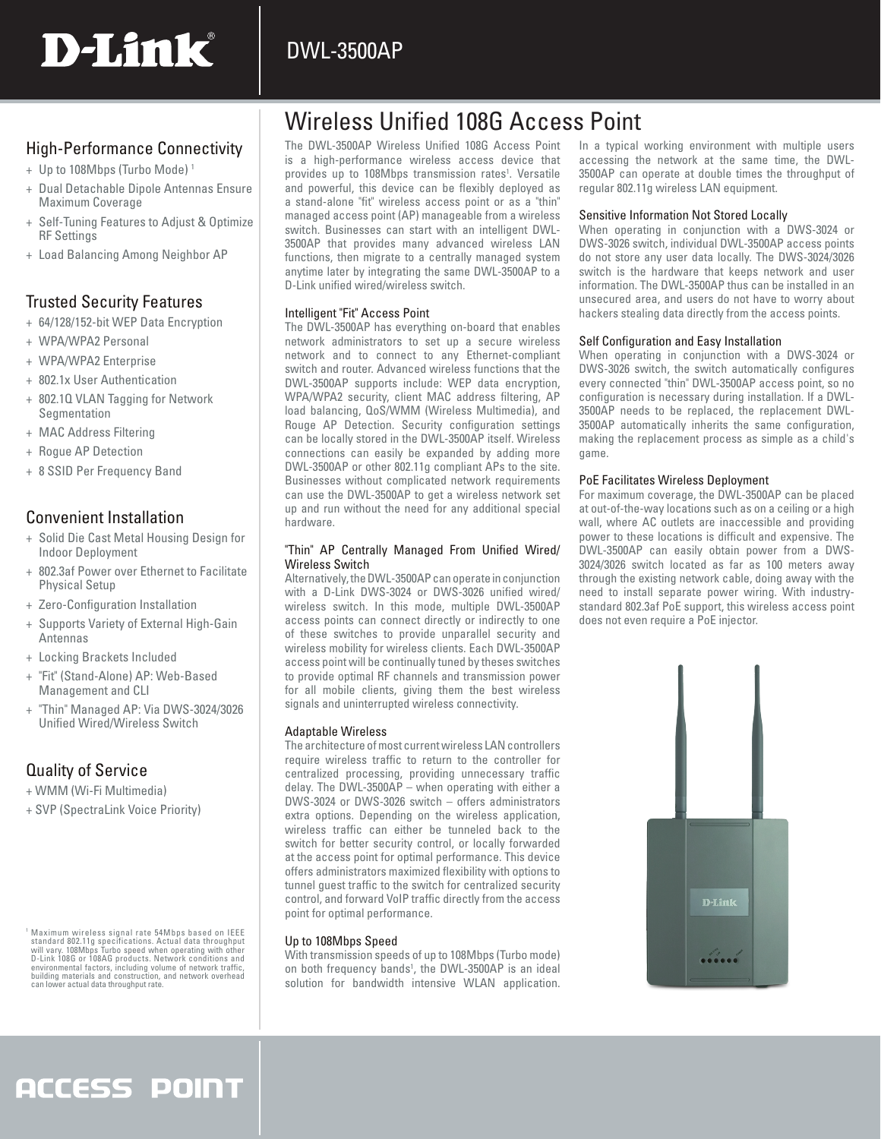### DWL-3500AP

# D-Link®

### High-Performance Connectivity

- + Up to 108Mbps (Turbo Mode) 1
- + Dual Detachable Dipole Antennas Ensure Maximum Coverage
- + Self-Tuning Features to Adjust & Optimize RF Settings
- + Load Balancing Among Neighbor AP

### Trusted Security Features

- + 64/128/152-bit WEP Data Encryption
- + WPA/WPA2 Personal
- + WPA/WPA2 Enterprise
- + 802.1x User Authentication
- + 802.1Q VLAN Tagging for Network Segmentation
- + MAC Address Filtering
- + Rogue AP Detection
- + 8 SSID Per Frequency Band

### Convenient Installation

- + Solid Die Cast Metal Housing Design for Indoor Deployment
- + 802.3af Power over Ethernet to Facilitate Physical Setup
- + Zero-Configuration Installation
- + Supports Variety of External High-Gain Antennas
- + Locking Brackets Included
- + "Fit" (Stand-Alone) AP: Web-Based Management and CLI
- + "Thin" Managed AP: Via DWS-3024/3026 Unified Wired/Wireless Switch

### Quality of Service

- + WMM (Wi-Fi Multimedia)
- + SVP (SpectraLink Voice Priority)

## Wireless Unified 108G Access Point

The DWL-3500AP Wireless Unified 108G Access Point is a high-performance wireless access device that provides up to 108Mbps transmission rates<sup>1</sup>. Versatile and powerful, this device can be flexibly deployed as a stand-alone "fit" wireless access point or as a "thin" managed access point (AP) manageable from a wireless switch. Businesses can start with an intelligent DWL-3500AP that provides many advanced wireless LAN functions, then migrate to a centrally managed system anytime later by integrating the same DWL-3500AP to a D-Link unified wired/wireless switch.

### Intelligent "Fit" Access Point

The DWL-3500AP has everything on-board that enables network administrators to set up a secure wireless network and to connect to any Ethernet-compliant switch and router. Advanced wireless functions that the DWL-3500AP supports include: WEP data encryption, WPA/WPA2 security, client MAC address filtering, AP load balancing, QoS/WMM (Wireless Multimedia), and Rouge AP Detection. Security configuration settings can be locally stored in the DWL-3500AP itself. Wireless connections can easily be expanded by adding more DWL-3500AP or other 802.11g compliant APs to the site. Businesses without complicated network requirements can use the DWL-3500AP to get a wireless network set up and run without the need for any additional special hardware.

#### "Thin" AP Centrally Managed From Unified Wired/ Wireless Switch

Alternatively, the DWL-3500AP can operate in conjunction with a D-Link DWS-3024 or DWS-3026 unified wired/ wireless switch. In this mode, multiple DWL-3500AP access points can connect directly or indirectly to one of these switches to provide unparallel security and wireless mobility for wireless clients. Each DWL-3500AP access point will be continually tuned by theses switches to provide optimal RF channels and transmission power for all mobile clients, giving them the best wireless signals and uninterrupted wireless connectivity.

#### Adaptable Wireless

The architecture of most current wireless LAN controllers require wireless traffic to return to the controller for centralized processing, providing unnecessary traffic delay. The DWL-3500AP – when operating with either a DWS-3024 or DWS-3026 switch – offers administrators extra options. Depending on the wireless application, wireless traffic can either be tunneled back to the switch for better security control, or locally forwarded at the access point for optimal performance. This device offers administrators maximized flexibility with options to tunnel guest traffic to the switch for centralized security control, and forward VoIP traffic directly from the access point for optimal performance.

### Up to 108Mbps Speed

With transmission speeds of up to 108Mbps (Turbo mode) on both frequency bands<sup>1</sup>, the DWL-3500AP is an ideal solution for bandwidth intensive WLAN application.

In a typical working environment with multiple users accessing the network at the same time, the DWL-3500AP can operate at double times the throughput of regular 802.11g wireless LAN equipment.

### Sensitive Information Not Stored Locally

When operating in conjunction with a DWS-3024 or DWS-3026 switch, individual DWL-3500AP access points do not store any user data locally. The DWS-3024/3026 switch is the hardware that keeps network and user information. The DWL-3500AP thus can be installed in an unsecured area, and users do not have to worry about hackers stealing data directly from the access points.

### Self Configuration and Easy Installation

When operating in conjunction with a DWS-3024 or DWS-3026 switch, the switch automatically configures every connected "thin" DWL-3500AP access point, so no configuration is necessary during installation. If a DWL-3500AP needs to be replaced, the replacement DWL-3500AP automatically inherits the same configuration, making the replacement process as simple as a child's game.

### PoE Facilitates Wireless Deployment

For maximum coverage, the DWL-3500AP can be placed at out-of-the-way locations such as on a ceiling or a high wall, where AC outlets are inaccessible and providing power to these locations is difficult and expensive. The DWL-3500AP can easily obtain power from a DWS-3024/3026 switch located as far as 100 meters away through the existing network cable, doing away with the need to install separate power wiring. With industrystandard 802.3af PoE support, this wireless access point does not even require a PoE injector.



<sup>&</sup>lt;sup>1</sup> Maximum wireless signal rate 54Mbps based on IEEE<br>standard 802.11g specifications. Actual data throughput<br>will vary. 108Mbps Turbo speed when operating with other<br>D-Link 108G or 108AG products. Network conditions and<br>e can lower actual data throughput rate.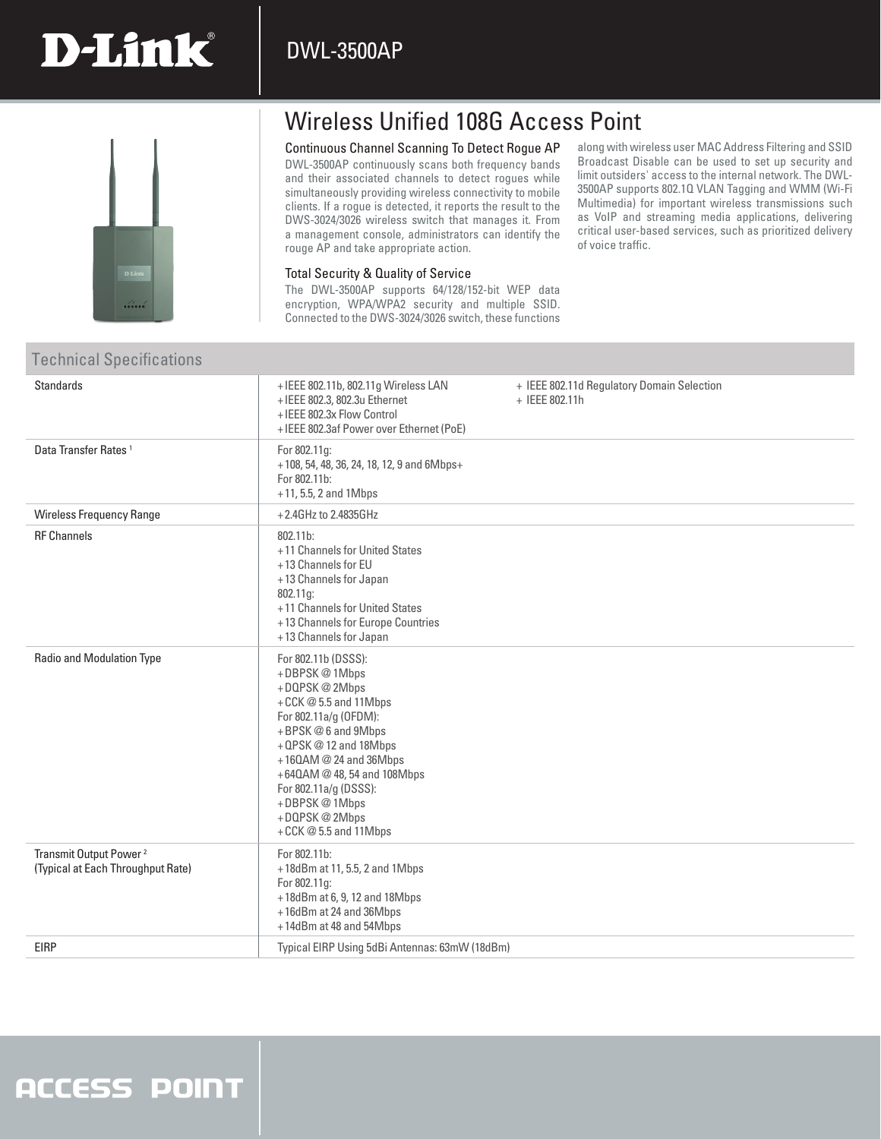### DWL-3500AP



**D-Link** 

## Wireless Unified 108G Access Point

#### Continuous Channel Scanning To Detect Rogue AP

DWL-3500AP continuously scans both frequency bands and their associated channels to detect rogues while simultaneously providing wireless connectivity to mobile clients. If a rogue is detected, it reports the result to the DWS-3024/3026 wireless switch that manages it. From a management console, administrators can identify the rouge AP and take appropriate action.

along with wireless user MAC Address Filtering and SSID Broadcast Disable can be used to set up security and limit outsiders' access to the internal network. The DWL-3500AP supports 802.1Q VLAN Tagging and WMM (Wi-Fi Multimedia) for important wireless transmissions such as VoIP and streaming media applications, delivering critical user-based services, such as prioritized delivery of voice traffic.

### Total Security & Quality of Service

The DWL-3500AP supports 64/128/152-bit WEP data encryption, WPA/WPA2 security and multiple SSID. Connected to the DWS-3024/3026 switch, these functions

### Technical Specifications

| <b>Standards</b>                                                        | +IEEE 802.11b, 802.11g Wireless LAN<br>+IEEE 802.3, 802.3u Ethernet<br>+ IEEE 802.3x Flow Control<br>+ IEEE 802.3af Power over Ethernet (PoE)                                                                                                                                               | + IEEE 802.11d Regulatory Domain Selection<br>+ IEEE 802.11h |
|-------------------------------------------------------------------------|---------------------------------------------------------------------------------------------------------------------------------------------------------------------------------------------------------------------------------------------------------------------------------------------|--------------------------------------------------------------|
| Data Transfer Rates <sup>1</sup>                                        | For 802.11g:<br>+108, 54, 48, 36, 24, 18, 12, 9 and 6Mbps+<br>For 802.11b:<br>$+11, 5.5, 2$ and 1Mbps                                                                                                                                                                                       |                                                              |
| Wireless Frequency Range                                                | +2.4GHz to 2.4835GHz                                                                                                                                                                                                                                                                        |                                                              |
| <b>RF Channels</b>                                                      | 802.11b:<br>+11 Channels for United States<br>+13 Channels for EU<br>+13 Channels for Japan<br>802.11g:<br>+11 Channels for United States<br>+13 Channels for Europe Countries<br>+13 Channels for Japan                                                                                    |                                                              |
| <b>Radio and Modulation Type</b>                                        | For 802.11b (DSSS):<br>+DBPSK@1Mbps<br>+DQPSK@2Mbps<br>+CCK@5.5 and 11Mbps<br>For 802.11a/g (OFDM):<br>+BPSK@6 and 9Mbps<br>+QPSK@12 and 18Mbps<br>$+160$ AM @ 24 and 36Mbps<br>+640AM @ 48, 54 and 108Mbps<br>For 802.11a/g (DSSS):<br>+DBPSK@1Mbps<br>+DQPSK@2Mbps<br>+CCK@5.5 and 11Mbps |                                                              |
| Transmit Output Power <sup>2</sup><br>(Typical at Each Throughput Rate) | For 802.11b:<br>+18dBm at 11, 5.5, 2 and 1Mbps<br>For 802.11g:<br>+18dBm at 6, 9, 12 and 18Mbps<br>+16dBm at 24 and 36Mbps<br>+14dBm at 48 and 54Mbps                                                                                                                                       |                                                              |
| <b>EIRP</b>                                                             | Typical EIRP Using 5dBi Antennas: 63mW (18dBm)                                                                                                                                                                                                                                              |                                                              |
|                                                                         |                                                                                                                                                                                                                                                                                             |                                                              |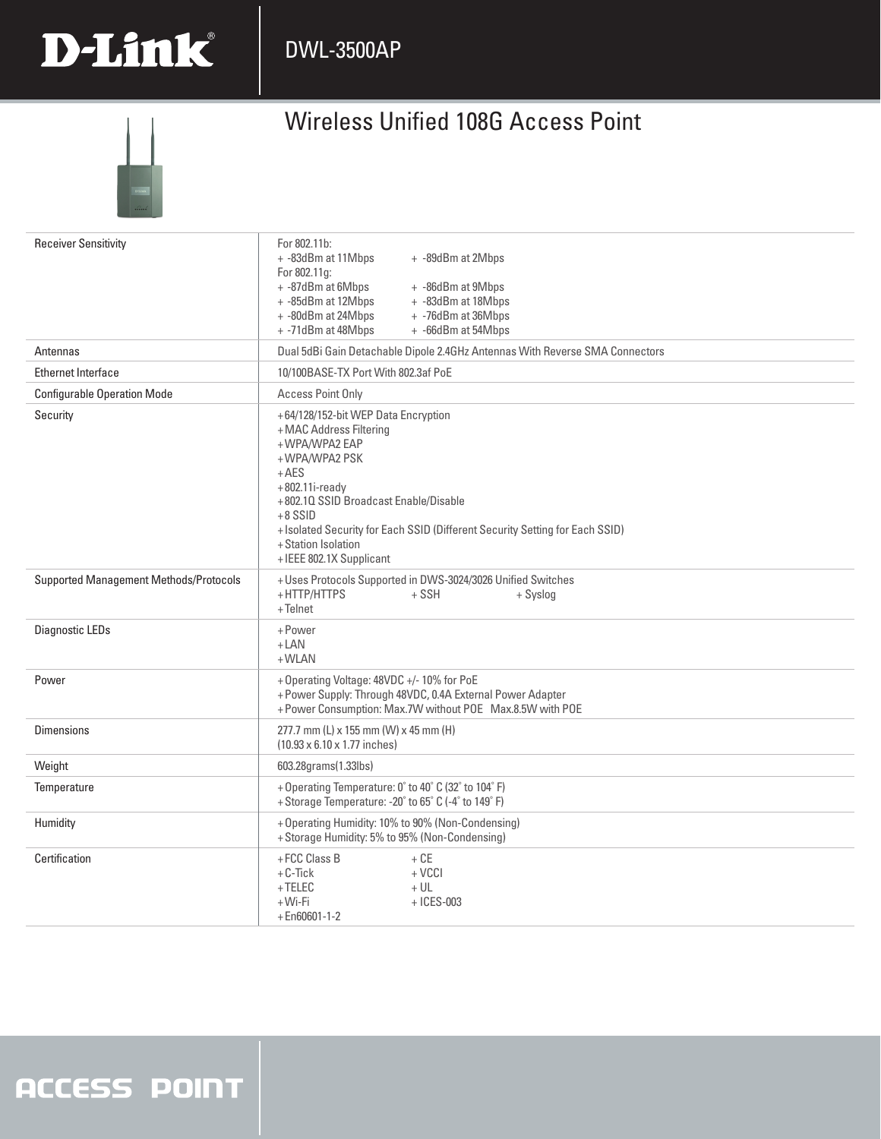

## Wireless Unified 108G Access Point



| <b>Receiver Sensitivity</b>            | For 802.11b:<br>+ -83dBm at 11Mbps<br>+ -89dBm at 2Mbps<br>For 802.11g:<br>+ -87dBm at 6Mbps<br>+ -86dBm at 9Mbps<br>+ -85dBm at 12Mbps<br>+ -83dBm at 18Mbps<br>+ -80dBm at 24Mbps<br>+ -76dBm at 36Mbps<br>+ -71dBm at 48Mbps<br>+ -66dBm at 54Mbps                                                                  |  |  |
|----------------------------------------|------------------------------------------------------------------------------------------------------------------------------------------------------------------------------------------------------------------------------------------------------------------------------------------------------------------------|--|--|
| Antennas                               | Dual 5dBi Gain Detachable Dipole 2.4GHz Antennas With Reverse SMA Connectors                                                                                                                                                                                                                                           |  |  |
| <b>Ethernet Interface</b>              | 10/100BASE-TX Port With 802.3af PoE                                                                                                                                                                                                                                                                                    |  |  |
| <b>Configurable Operation Mode</b>     | <b>Access Point Only</b>                                                                                                                                                                                                                                                                                               |  |  |
| Security                               | +64/128/152-bit WEP Data Encryption<br>+MAC Address Filtering<br>+WPA/WPA2 EAP<br>+WPA/WPA2 PSK<br>$+AES$<br>$+802.11i$ -ready<br>+802.10 SSID Broadcast Enable/Disable<br>$+8$ SSID<br>+ Isolated Security for Each SSID (Different Security Setting for Each SSID)<br>+ Station Isolation<br>+IEEE 802.1X Supplicant |  |  |
| Supported Management Methods/Protocols | + Uses Protocols Supported in DWS-3024/3026 Unified Switches<br>+HTTP/HTTPS<br>$+$ SSH<br>+ Syslog<br>+Telnet                                                                                                                                                                                                          |  |  |
| Diagnostic LEDs                        | +Power<br>$+$ LAN<br>$+$ WLAN                                                                                                                                                                                                                                                                                          |  |  |
| Power                                  | + Operating Voltage: 48VDC +/- 10% for PoE<br>+ Power Supply: Through 48VDC, 0.4A External Power Adapter<br>+ Power Consumption: Max.7W without POE Max.8.5W with POE                                                                                                                                                  |  |  |
| <b>Dimensions</b>                      | 277.7 mm (L) x 155 mm (W) x 45 mm (H)<br>(10.93 x 6.10 x 1.77 inches)                                                                                                                                                                                                                                                  |  |  |
| Weight                                 | 603.28grams(1.33lbs)                                                                                                                                                                                                                                                                                                   |  |  |
| Temperature                            | + Operating Temperature: 0° to 40° C (32° to 104° F)<br>+ Storage Temperature: -20° to 65° C (-4° to 149° F)                                                                                                                                                                                                           |  |  |
| Humidity                               | + Operating Humidity: 10% to 90% (Non-Condensing)<br>+ Storage Humidity: 5% to 95% (Non-Condensing)                                                                                                                                                                                                                    |  |  |
| Certification                          | +FCC Class B<br>$+ CE$<br>$+C$ -Tick<br>$+$ VCCI<br>$+TELEC$<br>$+UL$<br>+Wi-Fi<br>$+$ ICES-003<br>$+$ En60601-1-2                                                                                                                                                                                                     |  |  |